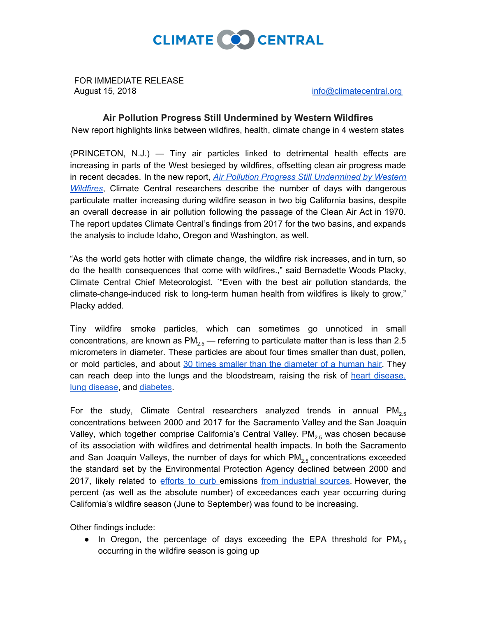

FOR IMMEDIATE RELEASE August 15, 2018 **[info@climatecentral.org](mailto:info@climatecentral.org)** 

## **Air Pollution Progress Still Undermined by Western Wildfires**

New report highlights links between wildfires, health, climate change in 4 western states

(PRINCETON, N.J.) — Tiny air particles linked to detrimental health effects are increasing in parts of the West besieged by wildfires, offsetting clean air progress made in recent decades. In the new report, *Air Pollution Progress Still [Undermined](http://www.climatecentral.org/news/report-air-pollution-progress-still-undermined-by-western-wildfires-21911) by Western [Wildfires](http://www.climatecentral.org/news/report-air-pollution-progress-still-undermined-by-western-wildfires-21911)*, Climate Central researchers describe the number of days with dangerous particulate matter increasing during wildfire season in two big California basins, despite an overall decrease in air pollution following the passage of the Clean Air Act in 1970. The report updates Climate Central's findings from 2017 for the two basins, and expands the analysis to include Idaho, Oregon and Washington, as well.

"As the world gets hotter with climate change, the wildfire risk increases, and in turn, so do the health consequences that come with wildfires.," said Bernadette Woods Placky, Climate Central Chief Meteorologist. `"Even with the best air pollution standards, the climate-change-induced risk to long-term human health from wildfires is likely to grow," Placky added.

Tiny wildfire smoke particles, which can sometimes go unnoticed in small concentrations, are known as  $PM_{2.5}$  — referring to particulate matter than is less than 2.5 micrometers in diameter. These particles are about four times smaller than dust, pollen, or mold particles, and about 30 times smaller than the [diameter](https://www.epa.gov/pm-pollution/particulate-matter-pm-basics) of a human hair. They can reach deep into the lungs and the bloodstream, raising the risk of heart [disease,](https://www.thelancet.com/journals/lancet/article/PIIS0140-6736(17)30505-6/fulltext) lung [disease,](https://www.thelancet.com/journals/lancet/article/PIIS0140-6736(17)30505-6/fulltext) and [diabetes](https://www.thelancet.com/journals/lanpla/article/PIIS2542-5196(18)30140-2/fulltext).

For the study, Climate Central researchers analyzed trends in annual  $PM_{2.5}$ concentrations between 2000 and 2017 for the Sacramento Valley and the San Joaquin Valley, which together comprise California's Central Valley.  $PM_{2.5}$  was chosen because of its association with wildfires and detrimental health impacts. In both the Sacramento and San Joaquin Valleys, the number of days for which  $PM_{2.5}$  concentrations exceeded the standard set by the Environmental Protection Agency declined between 2000 and 2017, likely related to [efforts](http://vista.cira.colostate.edu/Improve/spatial-and-seasonal-patterns-and-temporal-variability-of-haze-and-its-constituents-in-the-united-states-report-iv-november-2006/) to curb emissions from [industrial](http://www.pnas.org/content/early/2018/07/10/1804353115) sources. However, the percent (as well as the absolute number) of exceedances each year occurring during California's wildfire season (June to September) was found to be increasing.

Other findings include:

• In Oregon, the percentage of days exceeding the EPA threshold for  $PM_{2.5}$ occurring in the wildfire season is going up